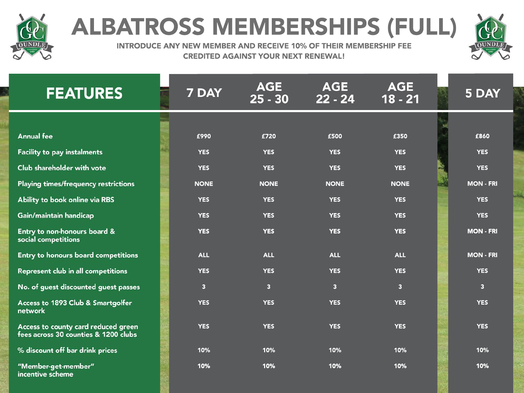

## **ALBATROSS MEMBERSHIPS (FULL)**



INTRODUCE ANY NEW MEMBER AND RECEIVE 10% OF THEIR MEMBERSHIP FEE **CREDITED AGAINST YOUR NEXT RENEWAL!** 

| <b>FEATURES</b>                                                             | 7 DAY                   | <b>AGE</b><br>$25 - 30$ | <b>AGE</b><br>$22 - 24$ | <b>AGE</b><br>$18 - 21$ | 5 DAY            |
|-----------------------------------------------------------------------------|-------------------------|-------------------------|-------------------------|-------------------------|------------------|
|                                                                             |                         |                         |                         |                         |                  |
| <b>Annual fee</b>                                                           | £990                    | £720                    | £500                    | £350                    | £860             |
| <b>Facility to pay instalments</b>                                          | <b>YES</b>              | <b>YES</b>              | <b>YES</b>              | <b>YES</b>              | <b>YES</b>       |
| Club shareholder with vote                                                  | <b>YES</b>              | <b>YES</b>              | <b>YES</b>              | <b>YES</b>              | <b>YES</b>       |
| <b>Playing times/frequency restrictions</b>                                 | <b>NONE</b>             | <b>NONE</b>             | <b>NONE</b>             | <b>NONE</b>             | <b>MON - FRI</b> |
| Ability to book online via RBS                                              | <b>YES</b>              | <b>YES</b>              | <b>YES</b>              | <b>YES</b>              | <b>YES</b>       |
| Gain/maintain handicap                                                      | <b>YES</b>              | <b>YES</b>              | <b>YES</b>              | <b>YES</b>              | <b>YES</b>       |
| Entry to non-honours board &<br>social competitions                         | <b>YES</b>              | <b>YES</b>              | <b>YES</b>              | <b>YES</b>              | <b>MON - FRI</b> |
| Entry to honours board competitions                                         | <b>ALL</b>              | <b>ALL</b>              | <b>ALL</b>              | <b>ALL</b>              | <b>MON - FRI</b> |
| <b>Represent club in all competitions</b>                                   | <b>YES</b>              | <b>YES</b>              | <b>YES</b>              | <b>YES</b>              | <b>YES</b>       |
| No. of guest discounted guest passes                                        | $\overline{\mathbf{3}}$ | $\overline{\mathbf{3}}$ | $\overline{\mathbf{3}}$ | $\overline{\mathbf{3}}$ | $\overline{3}$   |
| Access to 1893 Club & Smartgolfer<br>network                                | <b>YES</b>              | <b>YES</b>              | <b>YES</b>              | <b>YES</b>              | <b>YES</b>       |
| Access to county card reduced green<br>fees across 30 counties & 1200 clubs | <b>YES</b>              | <b>YES</b>              | <b>YES</b>              | <b>YES</b>              | <b>YES</b>       |
| % discount off bar drink prices                                             | 10%                     | 10%                     | 10%                     | 10%                     | 10%              |
| "Member-get-member"<br>incentive scheme                                     | 10%                     | 10%                     | 10%                     | 10%                     | 10%              |